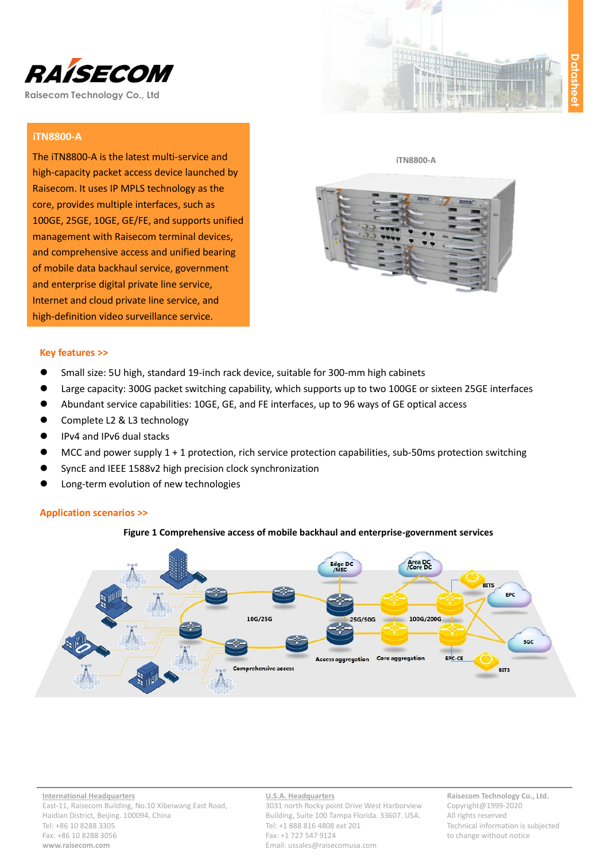

# **iTN8800-A**

The iTN8800-A is the latest multi-service and high-capacity packet access device launched by Raisecom. It uses IP MPLS technology as the core, provides multiple interfaces, such as 100GE, 25GE, 10GE, GE/FE, and supports unified management with Raisecom terminal devices, and comprehensive access and unified bearing of mobile data backhaul service, government and enterprise digital private line service, Internet and cloud private line service, and high-definition video surveillance service.



#### **iTN8800-A**



#### **Key features >>**

- Small size: 5U high, standard 19-inch rack device, suitable for 300-mm high cabinets
- Large capacity: 300G packet switching capability, which supports up to two 100GE or sixteen 25GE interfaces
- Abundant service capabilities: 10GE, GE, and FE interfaces, up to 96 ways of GE optical access
- Complete L2 & L3 technology
- IPv4 and IPv6 dual stacks
- MCC and power supply 1 + 1 protection, rich service protection capabilities, sub-50ms protection switching
- SyncE and IEEE 1588v2 high precision clock synchronization
- Long-term evolution of new technologies

## **Application scenarios >>**





**International Headquarters** East-11, Raisecom Building, No.10 Xibeiwang East Road, Haidian District, Beijing. 100094, China Tel: +86 10 8288 3305 Fax: +86 10 8288 3056 **www.raisecom.com**

## **U.S.A. Headquarters**

3031 north Rocky point Drive West Harborview Building, Suite 100 Tampa Florida. 33607. USA. Tel: +1 888 816 4808 ext 201 Fax: +1 727 547 9124 Email: ussales@raisecomusa.com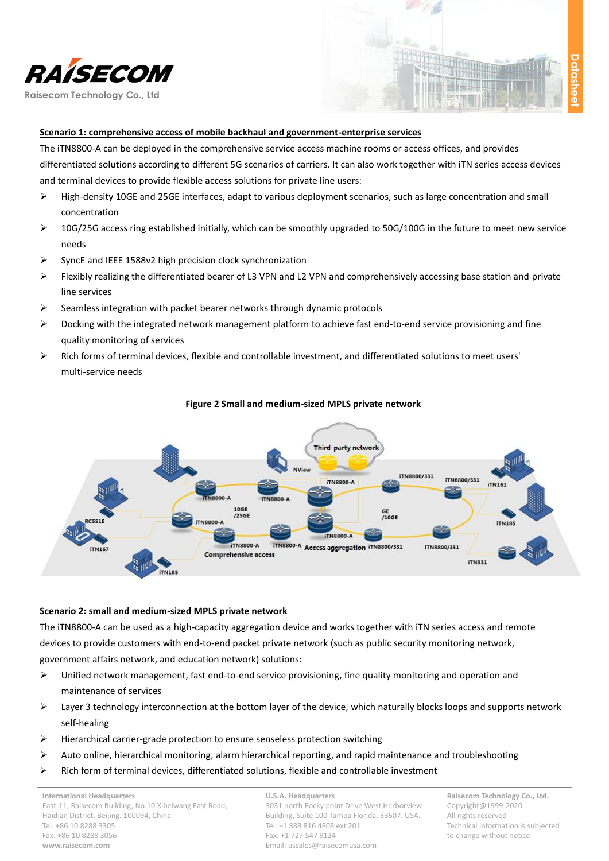



## **Scenario 1: comprehensive access of mobile backhaul and government-enterprise services**

The iTN8800-A can be deployed in the comprehensive service access machine rooms or access offices, and provides differentiated solutions according to different 5G scenarios of carriers. It can also work together with iTN series access devices and terminal devices to provide flexible access solutions for private line users:

- High-density 10GE and 25GE interfaces, adapt to various deployment scenarios, such as large concentration and small concentration
- $\triangleright$  10G/25G access ring established initially, which can be smoothly upgraded to 50G/100G in the future to meet new service needs
- $\triangleright$  SyncE and IEEE 1588v2 high precision clock synchronization
- Flexibly realizing the differentiated bearer of L3 VPN and L2 VPN and comprehensively accessing base station and private line services
- $\triangleright$  Seamless integration with packet bearer networks through dynamic protocols
- $\triangleright$  Docking with the integrated network management platform to achieve fast end-to-end service provisioning and fine quality monitoring of services
- $\triangleright$  Rich forms of terminal devices, flexible and controllable investment, and differentiated solutions to meet users' multi-service needs



#### **Figure 2 Small and medium-sized MPLS private network**

### **Scenario 2: small and medium-sized MPLS private network**

The iTN8800-A can be used as a high-capacity aggregation device and works together with iTN series access and remote devices to provide customers with end-to-end packet private network (such as public security monitoring network, government affairs network, and education network) solutions:

- $\triangleright$  Unified network management, fast end-to-end service provisioning, fine quality monitoring and operation and maintenance of services
- $\triangleright$  Layer 3 technology interconnection at the bottom layer of the device, which naturally blocks loops and supports network self-healing
- $\triangleright$  Hierarchical carrier-grade protection to ensure senseless protection switching
- $\triangleright$  Auto online, hierarchical monitoring, alarm hierarchical reporting, and rapid maintenance and troubleshooting
- $\triangleright$  Rich form of terminal devices, differentiated solutions, flexible and controllable investment

**U.S.A. Headquarters** 3031 north Rocky point Drive West Harborview Building, Suite 100 Tampa Florida. 33607. USA. Tel: +1 888 816 4808 ext 201 Fax: +1 727 547 9124 Email: ussales@raisecomusa.com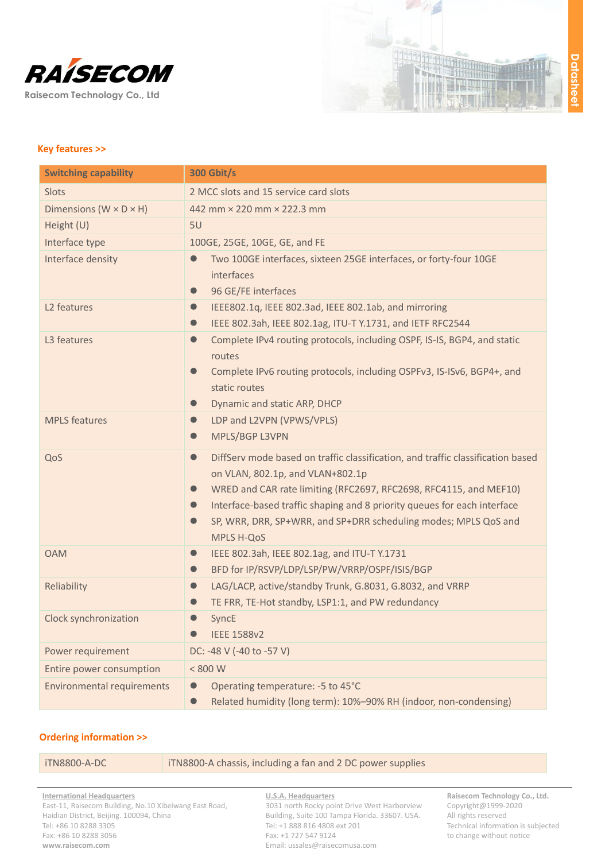



## **Key features >>**

| <b>Switching capability</b>          | <b>300 Gbit/s</b>                                                                                                                                                                                                                                                                                                                                                                                                |
|--------------------------------------|------------------------------------------------------------------------------------------------------------------------------------------------------------------------------------------------------------------------------------------------------------------------------------------------------------------------------------------------------------------------------------------------------------------|
| Slots                                | 2 MCC slots and 15 service card slots                                                                                                                                                                                                                                                                                                                                                                            |
| Dimensions ( $W \times D \times H$ ) | 442 mm × 220 mm × 222.3 mm                                                                                                                                                                                                                                                                                                                                                                                       |
| Height (U)                           | 5U                                                                                                                                                                                                                                                                                                                                                                                                               |
| Interface type                       | 100GE, 25GE, 10GE, GE, and FE                                                                                                                                                                                                                                                                                                                                                                                    |
| Interface density                    | Two 100GE interfaces, sixteen 25GE interfaces, or forty-four 10GE<br>interfaces<br>96 GE/FE interfaces<br>$\bullet$                                                                                                                                                                                                                                                                                              |
| L <sub>2</sub> features              | IEEE802.1q, IEEE 802.3ad, IEEE 802.1ab, and mirroring<br>$\bullet$<br>IEEE 802.3ah, IEEE 802.1ag, ITU-T Y.1731, and IETF RFC2544<br>$\bullet$                                                                                                                                                                                                                                                                    |
| L3 features                          | Complete IPv4 routing protocols, including OSPF, IS-IS, BGP4, and static<br>$\bullet$<br>routes<br>Complete IPv6 routing protocols, including OSPFv3, IS-ISv6, BGP4+, and<br>$\bullet$<br>static routes<br>Dynamic and static ARP, DHCP<br>$\bullet$                                                                                                                                                             |
| <b>MPLS</b> features                 | LDP and L2VPN (VPWS/VPLS)<br>$\bullet$<br>MPLS/BGP L3VPN<br>$\bullet$                                                                                                                                                                                                                                                                                                                                            |
| QoS                                  | DiffServ mode based on traffic classification, and traffic classification based<br>$\bullet$<br>on VLAN, 802.1p, and VLAN+802.1p<br>WRED and CAR rate limiting (RFC2697, RFC2698, RFC4115, and MEF10)<br>$\bullet$<br>Interface-based traffic shaping and 8 priority queues for each interface<br>$\bullet$<br>SP, WRR, DRR, SP+WRR, and SP+DRR scheduling modes; MPLS QoS and<br>$\bullet$<br><b>MPLS H-QoS</b> |
| <b>OAM</b>                           | IEEE 802.3ah, IEEE 802.1ag, and ITU-T Y.1731<br>$\bullet$<br>BFD for IP/RSVP/LDP/LSP/PW/VRRP/OSPF/ISIS/BGP<br>$\bullet$                                                                                                                                                                                                                                                                                          |
| Reliability                          | LAG/LACP, active/standby Trunk, G.8031, G.8032, and VRRP<br>$\bullet$<br>TE FRR, TE-Hot standby, LSP1:1, and PW redundancy                                                                                                                                                                                                                                                                                       |
| Clock synchronization                | SyncE<br><b>IEEE 1588v2</b><br>$\bullet$                                                                                                                                                                                                                                                                                                                                                                         |
| Power requirement                    | DC: -48 V (-40 to -57 V)                                                                                                                                                                                                                                                                                                                                                                                         |
| Entire power consumption             | < 800 W                                                                                                                                                                                                                                                                                                                                                                                                          |
| <b>Environmental requirements</b>    | Operating temperature: -5 to 45°C<br>$\bullet$<br>Related humidity (long term): 10%-90% RH (indoor, non-condensing)<br>$\bullet$                                                                                                                                                                                                                                                                                 |

## **Ordering information >>**

## iTN8800-A-DC iTN8800-A chassis, including a fan and 2 DC power supplies

**International Headquarters** East-11, Raisecom Building, No.10 Xibeiwang East Road, Haidian District, Beijing. 100094, China Tel: +86 10 8288 3305 Fax: +86 10 8288 3056 **www.raisecom.com**

**U.S.A. Headquarters** 3031 north Rocky point Drive West Harborview Building, Suite 100 Tampa Florida. 33607. USA.

Email: ussales@raisecomusa.com

Tel: +1 888 816 4808 ext 201 Fax: +1 727 547 9124